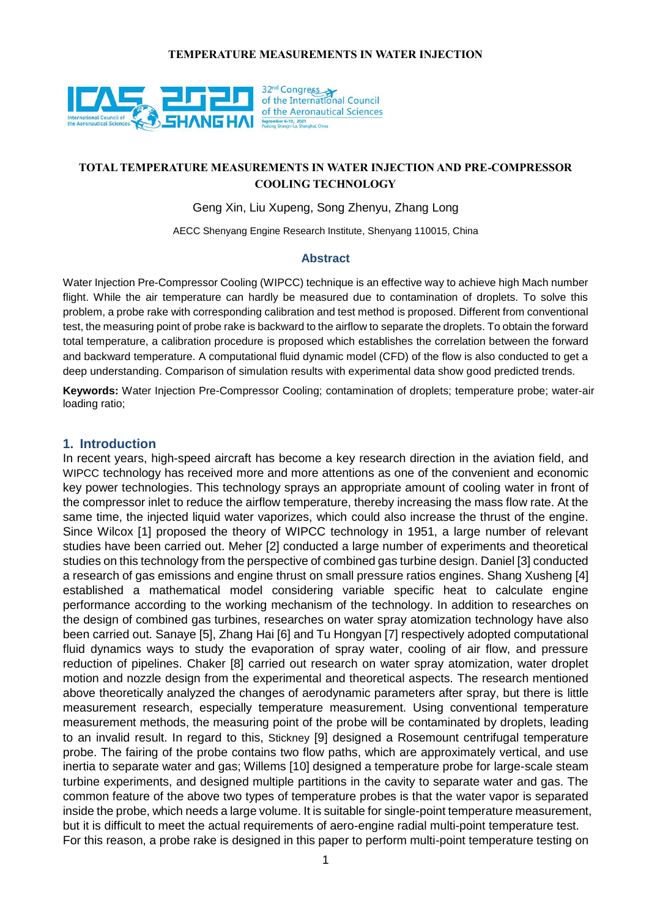

## **TOTAL TEMPERATURE MEASUREMENTS IN WATER INJECTION AND PRE-COMPRESSOR COOLING TECHNOLOGY**

Geng Xin, Liu Xupeng, Song Zhenyu, Zhang Long

AECC Shenyang Engine Research Institute, Shenyang 110015, China

### **Abstract**

Water Injection Pre-Compressor Cooling (WIPCC) technique is an effective way to achieve high Mach number flight. While the air temperature can hardly be measured due to contamination of droplets. To solve this problem, a probe rake with corresponding calibration and test method is proposed. Different from conventional test, the measuring point of probe rake is backward to the airflow to separate the droplets. To obtain the forward total temperature, a calibration procedure is proposed which establishes the correlation between the forward and backward temperature. A computational fluid dynamic model (CFD) of the flow is also conducted to get a deep understanding. Comparison of simulation results with experimental data show good predicted trends.

**Keywords:** Water Injection Pre-Compressor Cooling; contamination of droplets; temperature probe; water-air loading ratio;

### **1. Introduction**

In recent years, high-speed aircraft has become a key research direction in the aviation field, and WIPCC technology has received more and more attentions as one of the convenient and economic key power technologies. This technology sprays an appropriate amount of cooling water in front of the compressor inlet to reduce the airflow temperature, thereby increasing the mass flow rate. At the same time, the injected liquid water vaporizes, which could also increase the thrust of the engine. Since Wilcox [1] proposed the theory of WIPCC technology in 1951, a large number of relevant studies have been carried out. Meher [2] conducted a large number of experiments and theoretical studies on this technology from the perspective of combined gas turbine design. Daniel [3] conducted a research of gas emissions and engine thrust on small pressure ratios engines. Shang Xusheng [4] established a mathematical model considering variable specific heat to calculate engine performance according to the working mechanism of the technology. In addition to researches on the design of combined gas turbines, researches on water spray atomization technology have also been carried out. Sanaye [5], Zhang Hai [6] and Tu Hongyan [7] respectively adopted computational fluid dynamics ways to study the evaporation of spray water, cooling of air flow, and pressure reduction of pipelines. Chaker [8] carried out research on water spray atomization, water droplet motion and nozzle design from the experimental and theoretical aspects. The research mentioned above theoretically analyzed the changes of aerodynamic parameters after spray, but there is little measurement research, especially temperature measurement. Using conventional temperature measurement methods, the measuring point of the probe will be contaminated by droplets, leading to an invalid result. In regard to this, Stickney [9] designed a Rosemount centrifugal temperature probe. The fairing of the probe contains two flow paths, which are approximately vertical, and use inertia to separate water and gas; Willems [10] designed a temperature probe for large-scale steam turbine experiments, and designed multiple partitions in the cavity to separate water and gas. The common feature of the above two types of temperature probes is that the water vapor is separated inside the probe, which needs a large volume. It is suitable for single-point temperature measurement, but it is difficult to meet the actual requirements of aero-engine radial multi-point temperature test. For this reason, a probe rake is designed in this paper to perform multi-point temperature testing on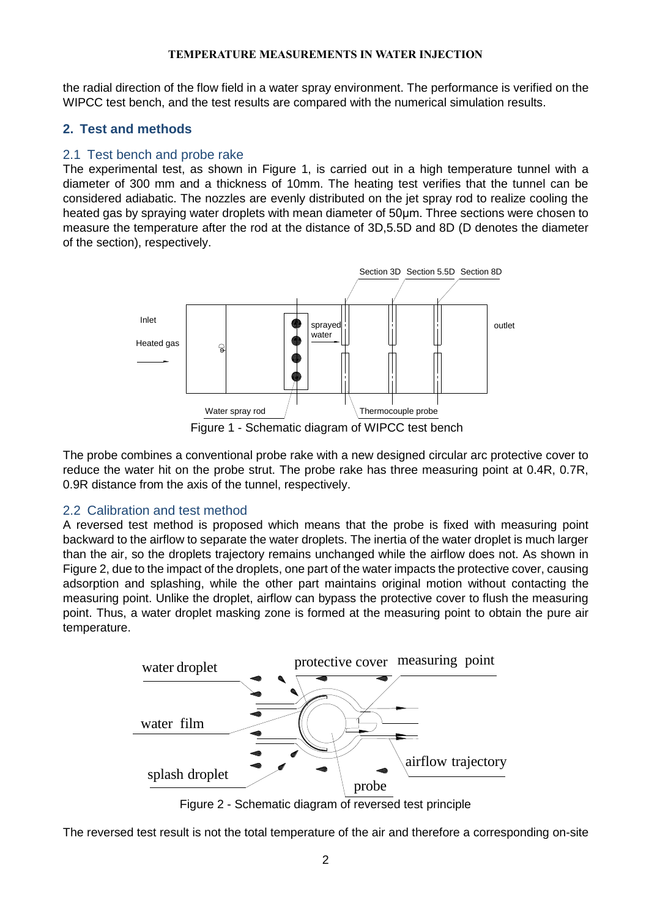the radial direction of the flow field in a water spray environment. The performance is verified on the WIPCC test bench, and the test results are compared with the numerical simulation results.

## **2. Test and methods**

## 2.1 Test bench and probe rake

The experimental test, as shown in Figure 1, is carried out in a high temperature tunnel with a diameter of 300 mm and a thickness of 10mm. The heating test verifies that the tunnel can be considered adiabatic. The nozzles are evenly distributed on the jet spray rod to realize cooling the heated gas by spraying water droplets with mean diameter of 50μm. Three sections were chosen to measure the temperature after the rod at the distance of 3D,5.5D and 8D (D denotes the diameter of the section), respectively.



Figure 1 - Schematic diagram of WIPCC test bench

The probe combines a conventional probe rake with a new designed circular arc protective cover to reduce the water hit on the probe strut. The probe rake has three measuring point at 0.4R, 0.7R, 0.9R distance from the axis of the tunnel, respectively.

# 2.2 Calibration and test method

A reversed test method is proposed which means that the probe is fixed with measuring point backward to the airflow to separate the water droplets. The inertia of the water droplet is much larger than the air, so the droplets trajectory remains unchanged while the airflow does not. As shown in Figure 2, due to the impact of the droplets, one part of the water impacts the protective cover, causing adsorption and splashing, while the other part maintains original motion without contacting the measuring point. Unlike the droplet, airflow can bypass the protective cover to flush the measuring point. Thus, a water droplet masking zone is formed at the measuring point to obtain the pure air temperature.



Figure 2 - Schematic diagram of reversed test principle

The reversed test result is not the total temperature of the air and therefore a corresponding on-site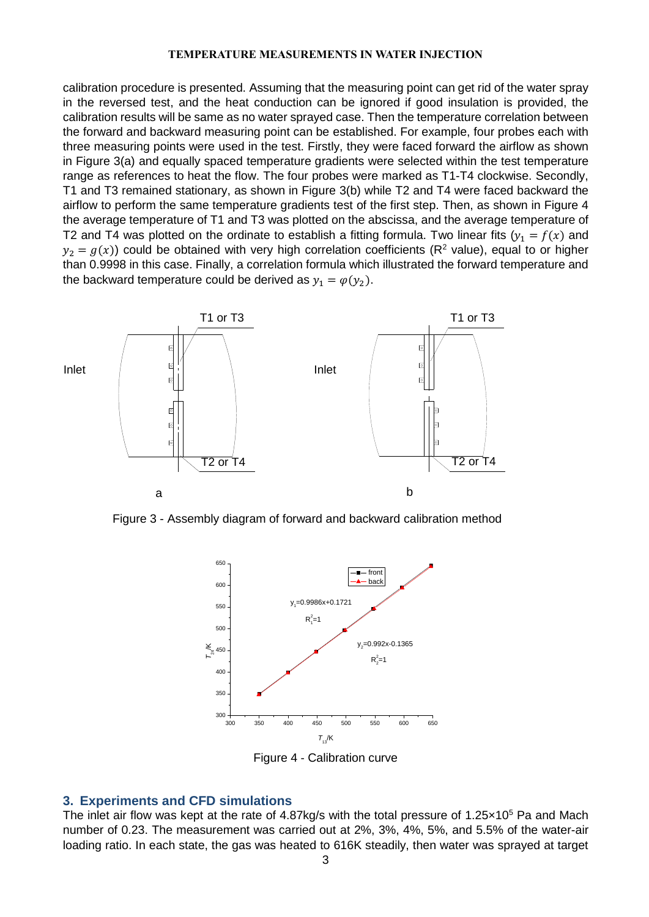calibration procedure is presented. Assuming that the measuring point can get rid of the water spray in the reversed test, and the heat conduction can be ignored if good insulation is provided, the calibration results will be same as no water sprayed case. Then the temperature correlation between the forward and backward measuring point can be established. For example, four probes each with three measuring points were used in the test. Firstly, they were faced forward the airflow as shown in Figure 3(a) and equally spaced temperature gradients were selected within the test temperature range as references to heat the flow. The four probes were marked as T1-T4 clockwise. Secondly, T1 and T3 remained stationary, as shown in Figure 3(b) while T2 and T4 were faced backward the airflow to perform the same temperature gradients test of the first step. Then, as shown in Figure 4 the average temperature of T1 and T3 was plotted on the abscissa, and the average temperature of T2 and T4 was plotted on the ordinate to establish a fitting formula. Two linear fits ( $y_1 = f(x)$  and  $y_2 = g(x)$ ) could be obtained with very high correlation coefficients (R<sup>2</sup> value), equal to or higher than 0.9998 in this case. Finally, a correlation formula which illustrated the forward temperature and the backward temperature could be derived as  $y_1 = \varphi(y_2)$ .



Figure 3 - Assembly diagram of forward and backward calibration method



Figure 4 - Calibration curve

### **3. Experiments and CFD simulations**

The inlet air flow was kept at the rate of 4.87kg/s with the total pressure of 1.25 $\times$ 10<sup>5</sup> Pa and Mach number of 0.23. The measurement was carried out at 2%, 3%, 4%, 5%, and 5.5% of the water-air loading ratio. In each state, the gas was heated to 616K steadily, then water was sprayed at target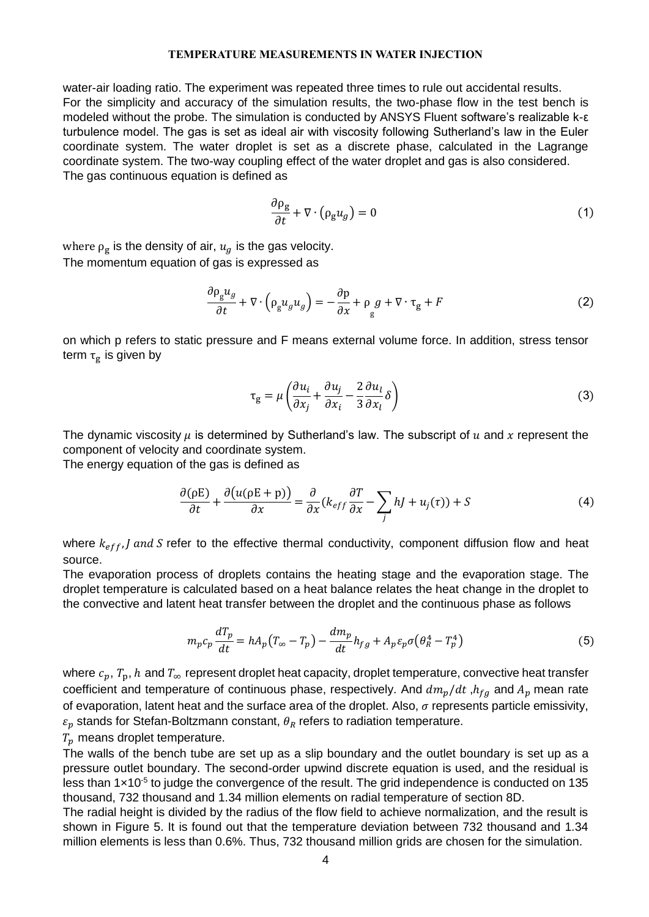water-air loading ratio. The experiment was repeated three times to rule out accidental results. For the simplicity and accuracy of the simulation results, the two-phase flow in the test bench is modeled without the probe. The simulation is conducted by ANSYS Fluent software's realizable k-ε turbulence model. The gas is set as ideal air with viscosity following Sutherland's law in the Euler coordinate system. The water droplet is set as a discrete phase, calculated in the Lagrange coordinate system. The two-way coupling effect of the water droplet and gas is also considered. The gas continuous equation is defined as

$$
\frac{\partial \rho_g}{\partial t} + \nabla \cdot (\rho_g u_g) = 0 \tag{1}
$$

where  $\rho_{\mathrm{g}}$  is the density of air,  $u_g$  is the gas velocity. The momentum equation of gas is expressed as

$$
\frac{\partial \rho_g u_g}{\partial t} + \nabla \cdot \left( \rho_g u_g u_g \right) = -\frac{\partial p}{\partial x} + \rho_g g + \nabla \cdot \tau_g + F \tag{2}
$$

on which p refers to static pressure and F means external volume force. In addition, stress tensor term  $\bm{\tau}_{\mathbf{g}}$  is given by

$$
\tau_{g} = \mu \left( \frac{\partial u_{i}}{\partial x_{j}} + \frac{\partial u_{j}}{\partial x_{i}} - \frac{2}{3} \frac{\partial u_{l}}{\partial x_{l}} \delta \right)
$$
(3)

The dynamic viscosity  $\mu$  is determined by Sutherland's law. The subscript of  $u$  and x represent the component of velocity and coordinate system.

The energy equation of the gas is defined as

$$
\frac{\partial(\rho E)}{\partial t} + \frac{\partial(u(\rho E + p))}{\partial x} = \frac{\partial}{\partial x}(k_{eff}\frac{\partial T}{\partial x} - \sum_j h_j + u_j(\tau)) + S
$$
(4)

where  $k_{eff}$ , *I and S* refer to the effective thermal conductivity, component diffusion flow and heat source.

The evaporation process of droplets contains the heating stage and the evaporation stage. The droplet temperature is calculated based on a heat balance relates the heat change in the droplet to the convective and latent heat transfer between the droplet and the continuous phase as follows

$$
m_p c_p \frac{dT_p}{dt} = h A_p \left( T_\infty - T_p \right) - \frac{dm_p}{dt} h_{fg} + A_p \varepsilon_p \sigma \left( \theta_R^4 - T_p^4 \right) \tag{5}
$$

where  $c_p$ ,  $T_p$ , h and  $T_{\infty}$  represent droplet heat capacity, droplet temperature, convective heat transfer coefficient and temperature of continuous phase, respectively. And  $dm_p/dt$ ,  $h_{fg}$  and  $A_p$  mean rate of evaporation, latent heat and the surface area of the droplet. Also,  $\sigma$  represents particle emissivity,  $\varepsilon_p$  stands for Stefan-Boltzmann constant,  $\theta_R$  refers to radiation temperature.

 $T_p$  means droplet temperature.

The walls of the bench tube are set up as a slip boundary and the outlet boundary is set up as a pressure outlet boundary. The second-order upwind discrete equation is used, and the residual is less than  $1 \times 10^{-5}$  to judge the convergence of the result. The grid independence is conducted on 135 thousand, 732 thousand and 1.34 million elements on radial temperature of section 8D.

The radial height is divided by the radius of the flow field to achieve normalization, and the result is shown in Figure 5. It is found out that the temperature deviation between 732 thousand and 1.34 million elements is less than 0.6%. Thus, 732 thousand million grids are chosen for the simulation.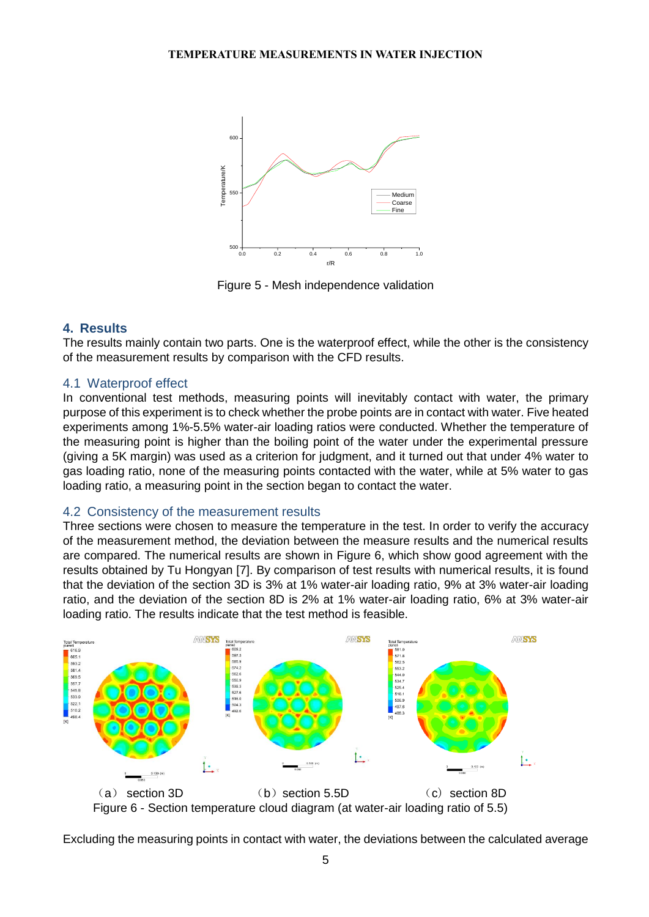

Figure 5 - Mesh independence validation

## **4. Results**

The results mainly contain two parts. One is the waterproof effect, while the other is the consistency of the measurement results by comparison with the CFD results.

## 4.1 Waterproof effect

In conventional test methods, measuring points will inevitably contact with water, the primary purpose of this experiment is to check whether the probe points are in contact with water. Five heated experiments among 1%-5.5% water-air loading ratios were conducted. Whether the temperature of the measuring point is higher than the boiling point of the water under the experimental pressure (giving a 5K margin) was used as a criterion for judgment, and it turned out that under 4% water to gas loading ratio, none of the measuring points contacted with the water, while at 5% water to gas loading ratio, a measuring point in the section began to contact the water.

## 4.2 Consistency of the measurement results

Three sections were chosen to measure the temperature in the test. In order to verify the accuracy of the measurement method, the deviation between the measure results and the numerical results are compared. The numerical results are shown in Figure 6, which show good agreement with the results obtained by Tu Hongyan [7]. By comparison of test results with numerical results, it is found that the deviation of the section 3D is 3% at 1% water-air loading ratio, 9% at 3% water-air loading ratio, and the deviation of the section 8D is 2% at 1% water-air loading ratio, 6% at 3% water-air loading ratio. The results indicate that the test method is feasible.



Excluding the measuring points in contact with water, the deviations between the calculated average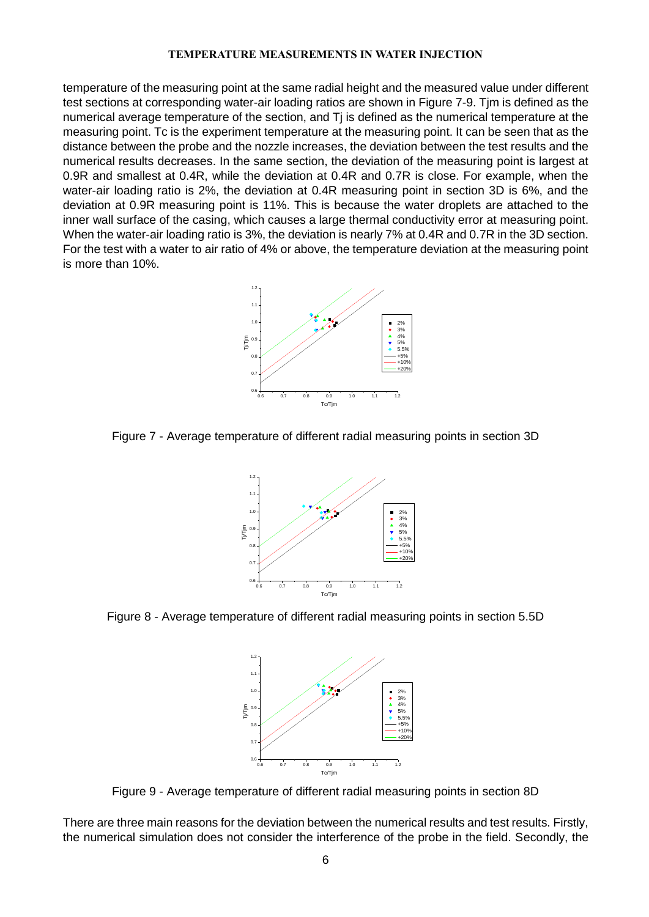temperature of the measuring point at the same radial height and the measured value under different test sections at corresponding water-air loading ratios are shown in Figure 7-9. Tjm is defined as the numerical average temperature of the section, and Tj is defined as the numerical temperature at the measuring point. Tc is the experiment temperature at the measuring point. It can be seen that as the distance between the probe and the nozzle increases, the deviation between the test results and the numerical results decreases. In the same section, the deviation of the measuring point is largest at 0.9R and smallest at 0.4R, while the deviation at 0.4R and 0.7R is close. For example, when the water-air loading ratio is 2%, the deviation at 0.4R measuring point in section 3D is 6%, and the deviation at 0.9R measuring point is 11%. This is because the water droplets are attached to the inner wall surface of the casing, which causes a large thermal conductivity error at measuring point. When the water-air loading ratio is 3%, the deviation is nearly 7% at 0.4R and 0.7R in the 3D section. For the test with a water to air ratio of 4% or above, the temperature deviation at the measuring point is more than 10%.



Figure 7 - Average temperature of different radial measuring points in section 3D



Figure 8 - Average temperature of different radial measuring points in section 5.5D



Figure 9 - Average temperature of different radial measuring points in section 8D

There are three main reasons for the deviation between the numerical results and test results. Firstly, the numerical simulation does not consider the interference of the probe in the field. Secondly, the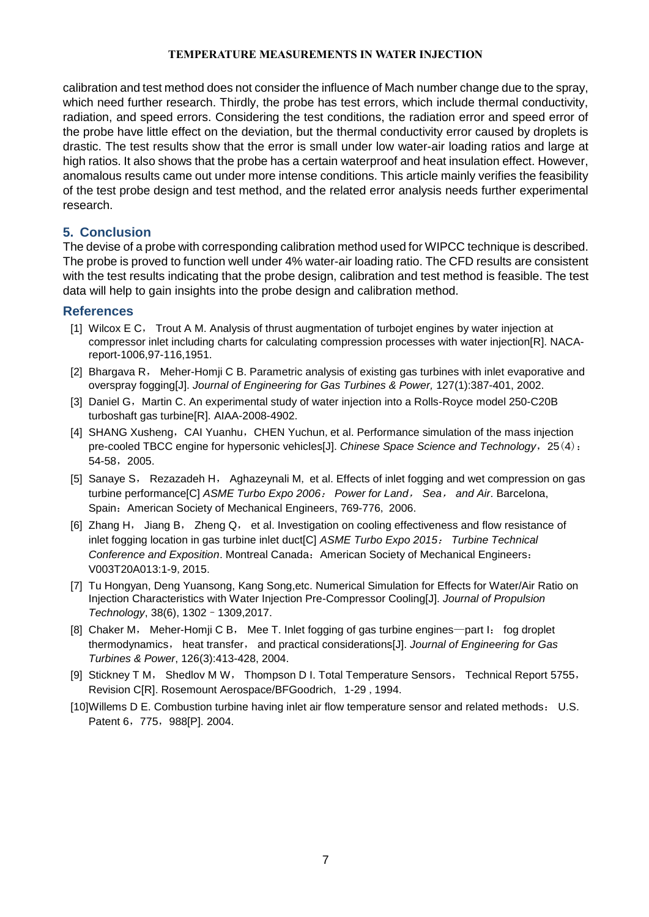calibration and test method does not consider the influence of Mach number change due to the spray, which need further research. Thirdly, the probe has test errors, which include thermal conductivity, radiation, and speed errors. Considering the test conditions, the radiation error and speed error of the probe have little effect on the deviation, but the thermal conductivity error caused by droplets is drastic. The test results show that the error is small under low water-air loading ratios and large at high ratios. It also shows that the probe has a certain waterproof and heat insulation effect. However, anomalous results came out under more intense conditions. This article mainly verifies the feasibility of the test probe design and test method, and the related error analysis needs further experimental research.

## **5. Conclusion**

The devise of a probe with corresponding calibration method used for WIPCC technique is described. The probe is proved to function well under 4% water-air loading ratio. The CFD results are consistent with the test results indicating that the probe design, calibration and test method is feasible. The test data will help to gain insights into the probe design and calibration method.

## **References**

- [1] Wilcox E C, Trout A M. Analysis of thrust augmentation of turbojet engines by water injection at compressor inlet including charts for calculating compression processes with water injection[R]. NACAreport-1006,97-116,1951.
- [2] Bhargava R, Meher-Homji C B. Parametric analysis of existing gas turbines with inlet evaporative and overspray fogging[J]. *Journal of Engineering for Gas Turbines & Power,* 127(1):387-401, 2002.
- [3] Daniel G, Martin C. An experimental study of water injection into a Rolls-Royce model 250-C20B turboshaft gas turbine[R]. AIAA-2008-4902.
- [4] SHANG Xusheng, CAI Yuanhu, CHEN Yuchun, et al. Performance simulation of the mass injection pre-cooled TBCC engine for hypersonic vehicles[J]. *Chinese Space Science and Technology*,25(4): 54-58,2005.
- [5] Sanaye S, Rezazadeh H, Aghazeynali M, et al. Effects of inlet fogging and wet compression on gas turbine performance[C] *ASME Turbo Expo 2006*: *Power for Land*, *Sea*, *and Air*. Barcelona, Spain: American Society of Mechanical Engineers, 769-776, 2006.
- [6] Zhang H, Jiang B, Zheng Q, et al. Investigation on cooling effectiveness and flow resistance of inlet fogging location in gas turbine inlet duct[C] *ASME Turbo Expo 2015*: *Turbine Technical Conference and Exposition*. [Montreal Canada](https://www.baidu.com/link?url=ImzV12_UwlF69RWHqRhps7hFWCKHnpm57_z3iJ2xmqElJhIZsSRWloKxlC5AiErQ&wd=&eqid=a1d66bc90006b00e000000035e7df5bb): American Society of Mechanical Engineers: V003T20A013:1-9,2015.
- [7] Tu Hongyan, Deng Yuansong, Kang Song,etc. Numerical Simulation for Effects for Water/Air Ratio on Injection Characteristics with Water Injection Pre-Compressor Cooling[J]. *Journal of Propulsion Technology*, 38(6), 1302–1309,2017.
- [8] Chaker M, Meher-Homji C B, Mee T. Inlet fogging of gas turbine engines—part I: fog droplet thermodynamics, heat transfer, and practical considerations[J]. *Journal of Engineering for Gas Turbines & Power*, 126(3):413-428, 2004.
- [9] Stickney T M, Shedlov M W, Thompson D I. Total Temperature Sensors, Technical Report 5755, Revision C[R]. Rosemount Aerospace/BFGoodrich, 1-29 ,1994.
- [10]Willems D E. Combustion turbine having inlet air flow temperature sensor and related methods: U.S. Patent 6, 775, 988[P]. 2004.